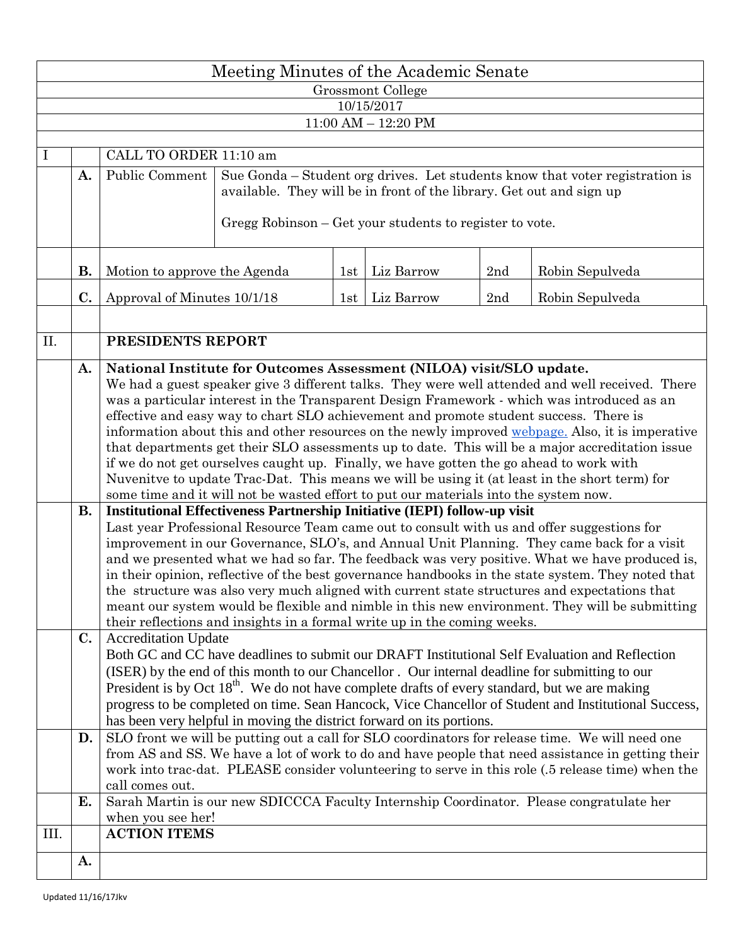|      | Meeting Minutes of the Academic Senate |                                                                                                                                                                                           |                                                                                                                                                      |                |            |     |                                                                                                            |  |  |  |  |  |  |  |
|------|----------------------------------------|-------------------------------------------------------------------------------------------------------------------------------------------------------------------------------------------|------------------------------------------------------------------------------------------------------------------------------------------------------|----------------|------------|-----|------------------------------------------------------------------------------------------------------------|--|--|--|--|--|--|--|
|      | Grossmont College                      |                                                                                                                                                                                           |                                                                                                                                                      |                |            |     |                                                                                                            |  |  |  |  |  |  |  |
|      | 10/15/2017                             |                                                                                                                                                                                           |                                                                                                                                                      |                |            |     |                                                                                                            |  |  |  |  |  |  |  |
|      | $11:00$ AM $- 12:20$ PM                |                                                                                                                                                                                           |                                                                                                                                                      |                |            |     |                                                                                                            |  |  |  |  |  |  |  |
| T    |                                        | CALL TO ORDER 11:10 am                                                                                                                                                                    |                                                                                                                                                      |                |            |     |                                                                                                            |  |  |  |  |  |  |  |
|      | A.                                     | Public Comment                                                                                                                                                                            |                                                                                                                                                      |                |            |     |                                                                                                            |  |  |  |  |  |  |  |
|      |                                        |                                                                                                                                                                                           | Sue Gonda – Student org drives. Let students know that voter registration is<br>available. They will be in front of the library. Get out and sign up |                |            |     |                                                                                                            |  |  |  |  |  |  |  |
|      |                                        |                                                                                                                                                                                           |                                                                                                                                                      |                |            |     |                                                                                                            |  |  |  |  |  |  |  |
|      |                                        |                                                                                                                                                                                           | Gregg Robinson – Get your students to register to vote.                                                                                              |                |            |     |                                                                                                            |  |  |  |  |  |  |  |
|      |                                        |                                                                                                                                                                                           |                                                                                                                                                      |                |            |     |                                                                                                            |  |  |  |  |  |  |  |
|      | В.                                     |                                                                                                                                                                                           |                                                                                                                                                      |                |            | 2nd | Robin Sepulveda                                                                                            |  |  |  |  |  |  |  |
|      |                                        | Motion to approve the Agenda                                                                                                                                                              |                                                                                                                                                      |                | Liz Barrow |     |                                                                                                            |  |  |  |  |  |  |  |
|      | C.                                     | Approval of Minutes 10/1/18                                                                                                                                                               |                                                                                                                                                      | $1\mathrm{st}$ | Liz Barrow | 2nd | Robin Sepulveda                                                                                            |  |  |  |  |  |  |  |
|      |                                        |                                                                                                                                                                                           |                                                                                                                                                      |                |            |     |                                                                                                            |  |  |  |  |  |  |  |
| II.  |                                        | PRESIDENTS REPORT                                                                                                                                                                         |                                                                                                                                                      |                |            |     |                                                                                                            |  |  |  |  |  |  |  |
|      | A.                                     | National Institute for Outcomes Assessment (NILOA) visit/SLO update.                                                                                                                      |                                                                                                                                                      |                |            |     |                                                                                                            |  |  |  |  |  |  |  |
|      |                                        | We had a guest speaker give 3 different talks. They were well attended and well received. There                                                                                           |                                                                                                                                                      |                |            |     |                                                                                                            |  |  |  |  |  |  |  |
|      |                                        | was a particular interest in the Transparent Design Framework - which was introduced as an                                                                                                |                                                                                                                                                      |                |            |     |                                                                                                            |  |  |  |  |  |  |  |
|      |                                        | effective and easy way to chart SLO achievement and promote student success. There is<br>information about this and other resources on the newly improved webpage. Also, it is imperative |                                                                                                                                                      |                |            |     |                                                                                                            |  |  |  |  |  |  |  |
|      |                                        | that departments get their SLO assessments up to date. This will be a major accreditation issue                                                                                           |                                                                                                                                                      |                |            |     |                                                                                                            |  |  |  |  |  |  |  |
|      |                                        | if we do not get ourselves caught up. Finally, we have gotten the go ahead to work with                                                                                                   |                                                                                                                                                      |                |            |     |                                                                                                            |  |  |  |  |  |  |  |
|      |                                        | Nuvenity to update Trac-Dat. This means we will be using it (at least in the short term) for                                                                                              |                                                                                                                                                      |                |            |     |                                                                                                            |  |  |  |  |  |  |  |
|      |                                        | some time and it will not be wasted effort to put our materials into the system now.                                                                                                      |                                                                                                                                                      |                |            |     |                                                                                                            |  |  |  |  |  |  |  |
|      | В.                                     | <b>Institutional Effectiveness Partnership Initiative (IEPI) follow-up visit</b>                                                                                                          |                                                                                                                                                      |                |            |     |                                                                                                            |  |  |  |  |  |  |  |
|      |                                        | Last year Professional Resource Team came out to consult with us and offer suggestions for<br>improvement in our Governance, SLO's, and Annual Unit Planning. They came back for a visit  |                                                                                                                                                      |                |            |     |                                                                                                            |  |  |  |  |  |  |  |
|      |                                        |                                                                                                                                                                                           |                                                                                                                                                      |                |            |     | and we presented what we had so far. The feedback was very positive. What we have produced is,             |  |  |  |  |  |  |  |
|      |                                        | in their opinion, reflective of the best governance handbooks in the state system. They noted that                                                                                        |                                                                                                                                                      |                |            |     |                                                                                                            |  |  |  |  |  |  |  |
|      |                                        | the structure was also very much aligned with current state structures and expectations that                                                                                              |                                                                                                                                                      |                |            |     |                                                                                                            |  |  |  |  |  |  |  |
|      |                                        | meant our system would be flexible and nimble in this new environment. They will be submitting<br>their reflections and insights in a formal write up in the coming weeks.                |                                                                                                                                                      |                |            |     |                                                                                                            |  |  |  |  |  |  |  |
|      | $\mathbf{C}$ .                         | <b>Accreditation Update</b>                                                                                                                                                               |                                                                                                                                                      |                |            |     |                                                                                                            |  |  |  |  |  |  |  |
|      |                                        |                                                                                                                                                                                           |                                                                                                                                                      |                |            |     | Both GC and CC have deadlines to submit our DRAFT Institutional Self Evaluation and Reflection             |  |  |  |  |  |  |  |
|      |                                        | (ISER) by the end of this month to our Chancellor . Our internal deadline for submitting to our                                                                                           |                                                                                                                                                      |                |            |     |                                                                                                            |  |  |  |  |  |  |  |
|      |                                        |                                                                                                                                                                                           |                                                                                                                                                      |                |            |     | President is by Oct 18 <sup>th</sup> . We do not have complete drafts of every standard, but we are making |  |  |  |  |  |  |  |
|      |                                        |                                                                                                                                                                                           |                                                                                                                                                      |                |            |     | progress to be completed on time. Sean Hancock, Vice Chancellor of Student and Institutional Success,      |  |  |  |  |  |  |  |
|      | D.                                     |                                                                                                                                                                                           | has been very helpful in moving the district forward on its portions.                                                                                |                |            |     | SLO front we will be putting out a call for SLO coordinators for release time. We will need one            |  |  |  |  |  |  |  |
|      |                                        |                                                                                                                                                                                           |                                                                                                                                                      |                |            |     | from AS and SS. We have a lot of work to do and have people that need assistance in getting their          |  |  |  |  |  |  |  |
|      |                                        |                                                                                                                                                                                           |                                                                                                                                                      |                |            |     | work into trac-dat. PLEASE consider volunteering to serve in this role (.5 release time) when the          |  |  |  |  |  |  |  |
|      |                                        | call comes out.                                                                                                                                                                           |                                                                                                                                                      |                |            |     |                                                                                                            |  |  |  |  |  |  |  |
|      | Е.                                     | Sarah Martin is our new SDICCCA Faculty Internship Coordinator. Please congratulate her                                                                                                   |                                                                                                                                                      |                |            |     |                                                                                                            |  |  |  |  |  |  |  |
| III. |                                        | when you see her!<br><b>ACTION ITEMS</b>                                                                                                                                                  |                                                                                                                                                      |                |            |     |                                                                                                            |  |  |  |  |  |  |  |
|      |                                        |                                                                                                                                                                                           |                                                                                                                                                      |                |            |     |                                                                                                            |  |  |  |  |  |  |  |
|      | A.                                     |                                                                                                                                                                                           |                                                                                                                                                      |                |            |     |                                                                                                            |  |  |  |  |  |  |  |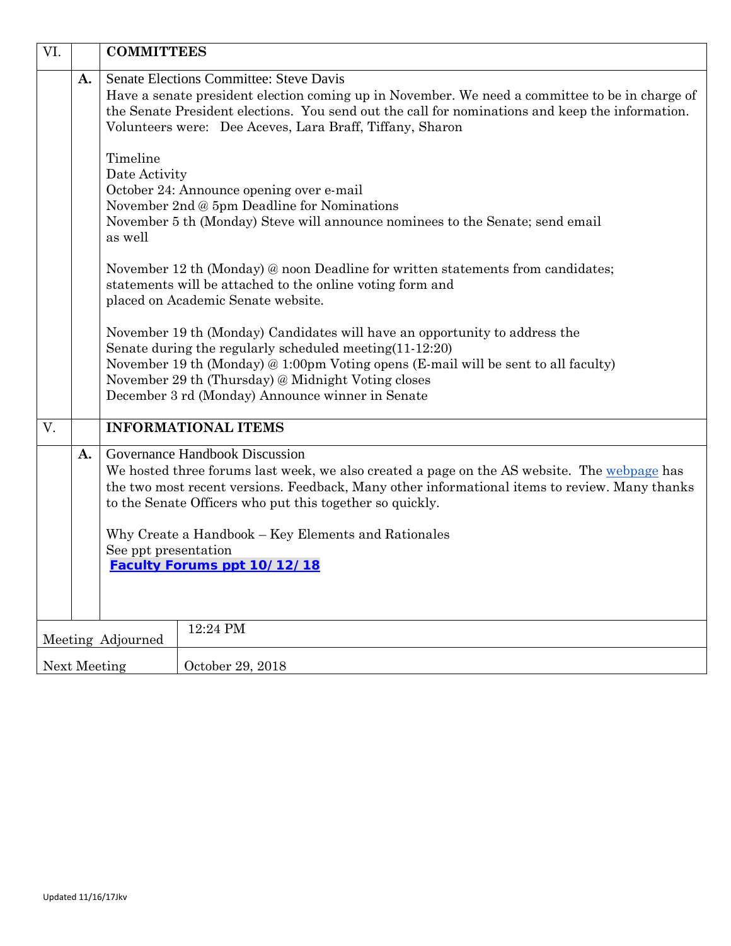| VI.               |                                                                                                                                                                                                                                                                                                                                          | <b>COMMITTEES</b>                                                                                                                                                                  |                                                                                                                                                                                                                                                                                                                                                   |  |  |  |  |  |  |
|-------------------|------------------------------------------------------------------------------------------------------------------------------------------------------------------------------------------------------------------------------------------------------------------------------------------------------------------------------------------|------------------------------------------------------------------------------------------------------------------------------------------------------------------------------------|---------------------------------------------------------------------------------------------------------------------------------------------------------------------------------------------------------------------------------------------------------------------------------------------------------------------------------------------------|--|--|--|--|--|--|
|                   | A.                                                                                                                                                                                                                                                                                                                                       |                                                                                                                                                                                    | <b>Senate Elections Committee: Steve Davis</b><br>Have a senate president election coming up in November. We need a committee to be in charge of<br>the Senate President elections. You send out the call for nominations and keep the information.<br>Volunteers were: Dee Aceves, Lara Braff, Tiffany, Sharon                                   |  |  |  |  |  |  |
|                   |                                                                                                                                                                                                                                                                                                                                          | Timeline<br>Date Activity<br>as well                                                                                                                                               | October 24: Announce opening over e-mail<br>November 2nd @ 5pm Deadline for Nominations<br>November 5 th (Monday) Steve will announce nominees to the Senate; send email                                                                                                                                                                          |  |  |  |  |  |  |
|                   |                                                                                                                                                                                                                                                                                                                                          | November 12 th (Monday) @ noon Deadline for written statements from candidates;<br>statements will be attached to the online voting form and<br>placed on Academic Senate website. |                                                                                                                                                                                                                                                                                                                                                   |  |  |  |  |  |  |
|                   | November 19 th (Monday) Candidates will have an opportunity to address the<br>Senate during the regularly scheduled meeting $(11-12:20)$<br>November 19 th (Monday) @ 1:00pm Voting opens (E-mail will be sent to all faculty)<br>November 29 th (Thursday) @ Midnight Voting closes<br>December 3 rd (Monday) Announce winner in Senate |                                                                                                                                                                                    |                                                                                                                                                                                                                                                                                                                                                   |  |  |  |  |  |  |
| V.                |                                                                                                                                                                                                                                                                                                                                          | <b>INFORMATIONAL ITEMS</b>                                                                                                                                                         |                                                                                                                                                                                                                                                                                                                                                   |  |  |  |  |  |  |
| A.                |                                                                                                                                                                                                                                                                                                                                          | See ppt presentation                                                                                                                                                               | Governance Handbook Discussion<br>We hosted three forums last week, we also created a page on the AS website. The webpage has<br>the two most recent versions. Feedback, Many other informational items to review. Many thanks<br>to the Senate Officers who put this together so quickly.<br>Why Create a Handbook - Key Elements and Rationales |  |  |  |  |  |  |
|                   |                                                                                                                                                                                                                                                                                                                                          | Faculty Forums ppt 10/12/18<br>12:24 PM                                                                                                                                            |                                                                                                                                                                                                                                                                                                                                                   |  |  |  |  |  |  |
| Meeting Adjourned |                                                                                                                                                                                                                                                                                                                                          |                                                                                                                                                                                    |                                                                                                                                                                                                                                                                                                                                                   |  |  |  |  |  |  |
| Next Meeting      |                                                                                                                                                                                                                                                                                                                                          |                                                                                                                                                                                    | October 29, 2018                                                                                                                                                                                                                                                                                                                                  |  |  |  |  |  |  |